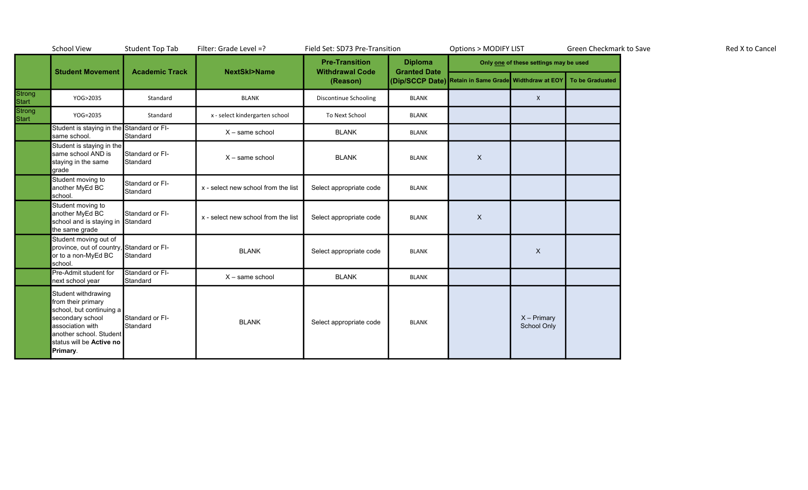|                                    | <b>School View</b>                                                                                                                                                               | <b>Student Top Tab</b>      | Filter: Grade Level =?              | Field Set: SD73 Pre-Transition                              |                                       | <b>Options &gt; MODIFY LIST</b>                                       |                              | Green Checkmark to Save |  | Red X to Cancel |
|------------------------------------|----------------------------------------------------------------------------------------------------------------------------------------------------------------------------------|-----------------------------|-------------------------------------|-------------------------------------------------------------|---------------------------------------|-----------------------------------------------------------------------|------------------------------|-------------------------|--|-----------------|
|                                    | <b>Student Movement</b>                                                                                                                                                          | <b>Academic Track</b>       | <b>NextSkl&gt;Name</b>              | <b>Pre-Transition</b><br><b>Withdrawal Code</b><br>(Reason) | <b>Diploma</b><br><b>Granted Date</b> | Only one of these settings may be used                                |                              |                         |  |                 |
|                                    |                                                                                                                                                                                  |                             |                                     |                                                             |                                       | (Dip/SCCP Date) Retain in Same Grade Widthdraw at EOY To be Graduated |                              |                         |  |                 |
|                                    | YOG>2035                                                                                                                                                                         | Standard                    | <b>BLANK</b>                        | Discontinue Schooling                                       | <b>BLANK</b>                          |                                                                       | $\mathsf{X}$                 |                         |  |                 |
| Strong<br>Start<br>Strong<br>Start | YOG=2035                                                                                                                                                                         | Standard                    | x - select kindergarten school      | To Next School                                              | <b>BLANK</b>                          |                                                                       |                              |                         |  |                 |
|                                    | Student is staying in the Standard or FI-<br>same school.                                                                                                                        | Standard                    | $X - same school$                   | <b>BLANK</b>                                                | <b>BLANK</b>                          |                                                                       |                              |                         |  |                 |
|                                    | Student is staying in the<br>same school AND is<br>staying in the same<br>grade                                                                                                  | Standard or FI-<br>Standard | $X - same school$                   | <b>BLANK</b>                                                | <b>BLANK</b>                          | $\boldsymbol{\mathsf{X}}$                                             |                              |                         |  |                 |
|                                    | Student moving to<br>another MyEd BC<br>school.                                                                                                                                  | Standard or FI-<br>Standard | x - select new school from the list | Select appropriate code                                     | <b>BLANK</b>                          |                                                                       |                              |                         |  |                 |
|                                    | Student moving to<br>another MyEd BC<br>school and is staying in Standard<br>the same grade                                                                                      | Standard or FI-             | x - select new school from the list | Select appropriate code                                     | <b>BLANK</b>                          | $\mathsf{X}$                                                          |                              |                         |  |                 |
|                                    | Student moving out of<br>province, out of country, Standard or FI-<br>or to a non-MyEd BC<br>school.                                                                             | Standard                    | <b>BLANK</b>                        | Select appropriate code                                     | <b>BLANK</b>                          |                                                                       | $\mathsf X$                  |                         |  |                 |
|                                    | Pre-Admit student for<br>next school year                                                                                                                                        | Standard or FI-<br>Standard | X - same school                     | <b>BLANK</b>                                                | <b>BLANK</b>                          |                                                                       |                              |                         |  |                 |
|                                    | Student withdrawing<br>from their primary<br>school, but continuing a<br>secondary school<br>association with<br>another school. Student<br>status will be Active no<br>Primary. | Standard or FI-<br>Standard | <b>BLANK</b>                        | Select appropriate code                                     | <b>BLANK</b>                          |                                                                       | $X - Primary$<br>School Only |                         |  |                 |